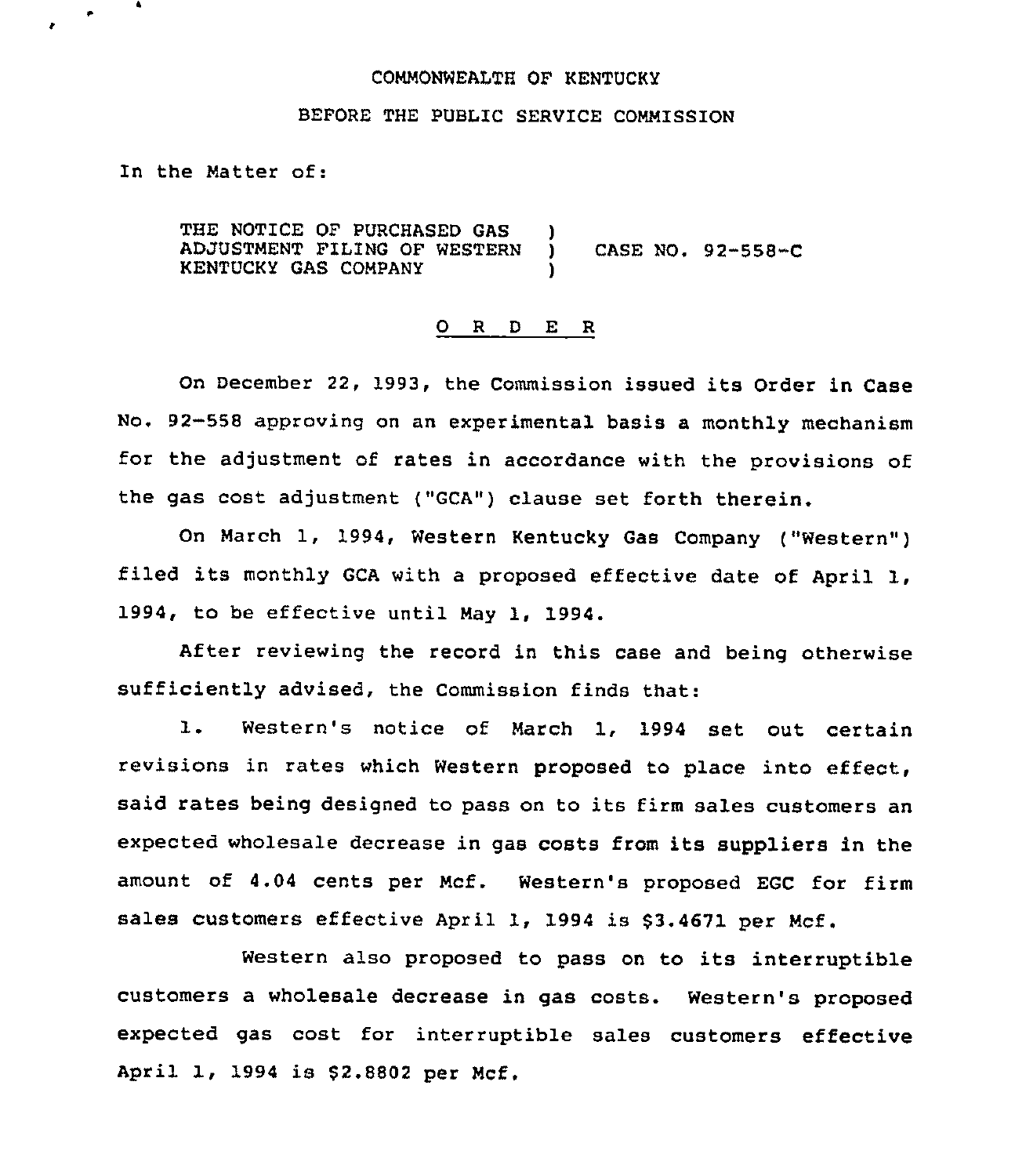## COMMONWEALTH OF KENTUCKY

## BEFORE THE PUBLIC SERVICE COMMISSION

In the Matter of:

 $\ddot{\phantom{1}}$ 

 $\bullet$ 

THE NOTICE OF PURCHASED GAS ADJUSTMENT FILING OF WESTERN KENTUCKY GAS COMPANY )<br>) ) CASE NO <sup>~</sup> 92-558-C )

#### 0 <sup>R</sup> <sup>D</sup> E R

On December 22, 1993, the Commission issued its Order in Case No. 92-558 approving on an experimental basis a monthly mechanism for the adjustment of rates in accordance with the provisions of the gas cost adjustment ("GCA") clause set forth therein.

On March 1, 1994, Western Kentucky Gas Company ("Western" ) filed its monthly GCA with <sup>a</sup> proposed effective date of April 1, 1994, to be effective until May 1, 1994.

After reviewing the record in this case and being otherwise sufficiently advised, the Commission finds that:

1. Western's notice of March 1, <sup>1994</sup> set out certain revisions in rates which Western proposed to place into effect, said rates being designed to pass on to its firm sales customers an expected wholesale decrease in gas costs from its suppliers in the amount of 4.04 cents per Mcf. Western's proposed EGC for firm sales customers effective April 1, 1994 is \$3.4671 per Mcf.

Western also proposed to pass on to its interruptible customers a wholesale decrease in gas costs. Western's proposed expected gas cost for interruptible sales customers effective April 1, 1994 is 52.8802 per Mcf.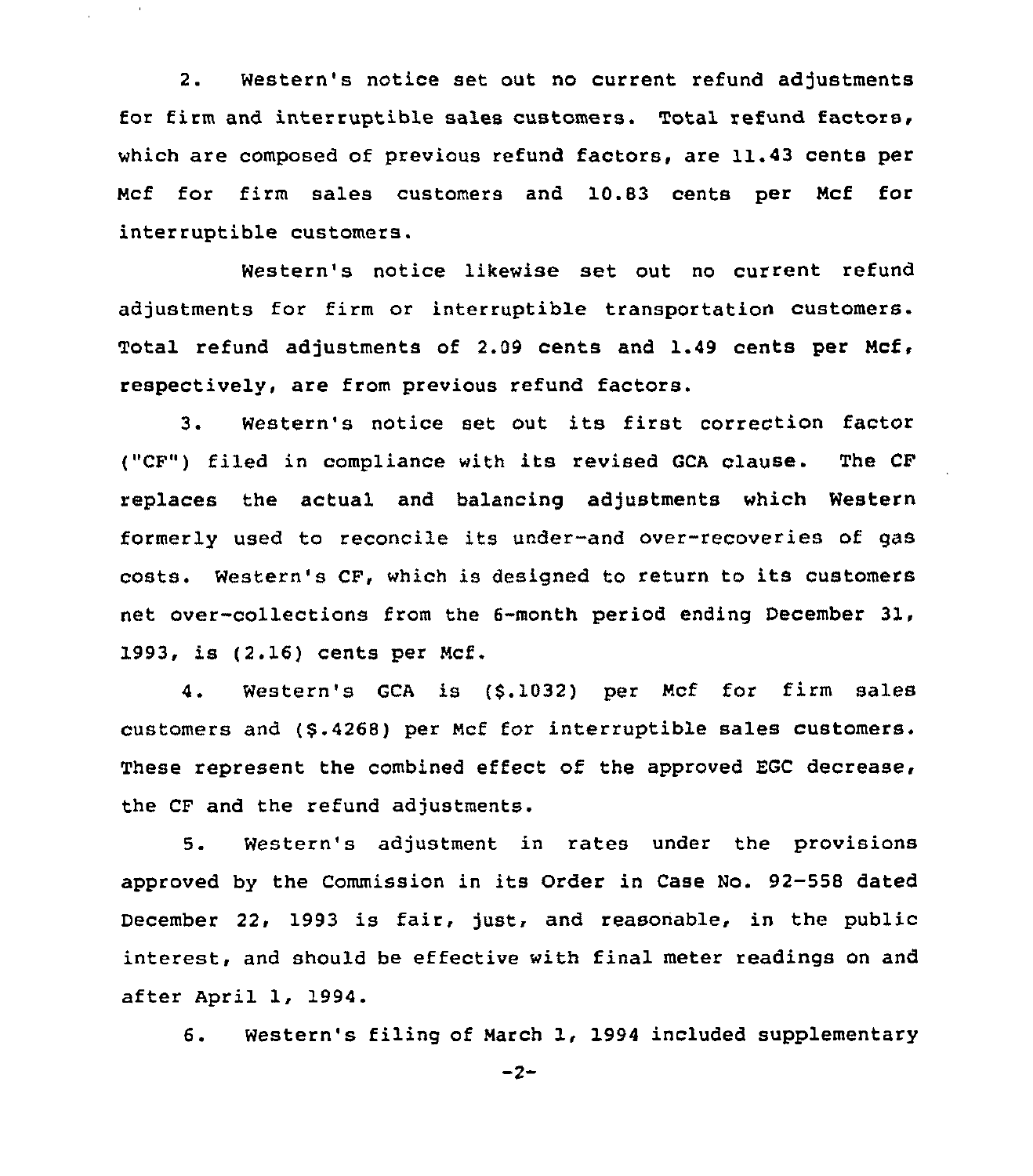2. Western's notice set out no current refund adjustments for firm and interruptible sales customers. Total refund factors, which are composed of previous refund factors, are 11.43 cents per Ncf for firm sales customers and 10.83 cents per Ncf for interruptible customers.

 $\bar{1}$ 

Western's notice likewise set out no current refund adjustments for firm or interruptible transportation customers. Total refund adjustments of 2.09 cents and 1.49 cents per Ncf, respectively, are from previous refund factors.

3. Western's notice set out its first correction factor ("CF") filed in compliance with its revised GCA clause. The CF replaces the actual and balancing adjustments which Western formerly used to reconcile its under-and over-recoveries of gas costs. Western's CF, which is designed to return to its customers net over-collections from the 6-month period ending December 31, 1993, is (2.16) cents per Mcf.

4. Western's GCA is (\$.1032) per Ncf for firm sales customers and (\$ .4268) per Ncf for interruptible sales customers. These represent the combined effect of the approved EGC decrease, the CF and the refund adjustments.

5. Western's adjustment in rates under the provisions approved by the Commission in its Order in Case No. 92-558 dated December 22, 1993 is fair, just, and reasonable, in the public interest, and should be effective with final meter readings on and after April 1, 1994.

6. Western's filing of March 1, 1994 included supplementary

 $-2-$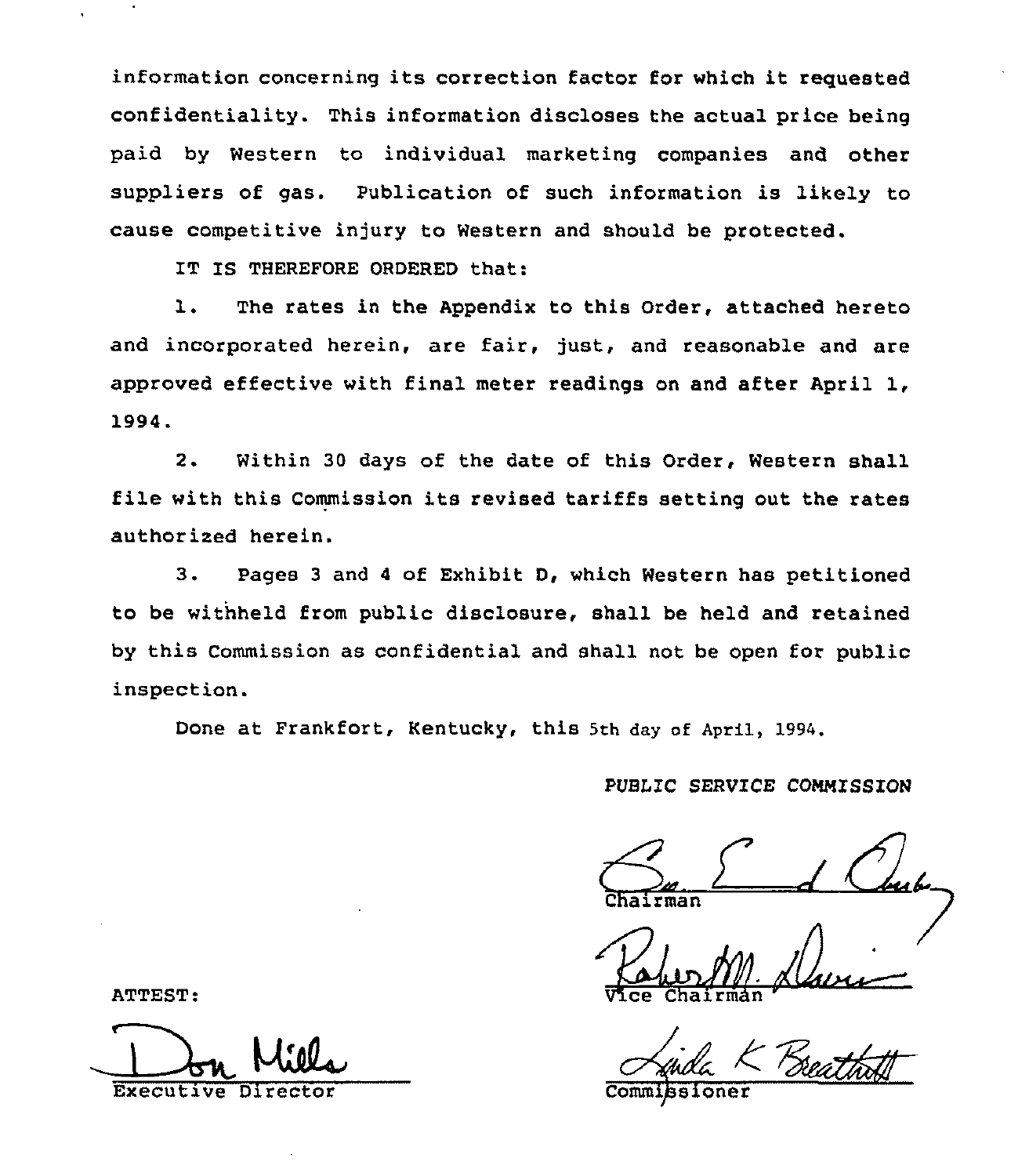information concerning its correction factor for which it requested confidentiality. This information discloses the actual price being paid by Western to individual marketing companies and other suppliers of gas. Publication of such information is likely to cause competitive injury to Western and should be protected.

IT IS THEREFORE ORDERED that:

1. The rates in the Appendix to this Order, attached hereto and incorporated herein, are fair, just, and reasonable and are approved effective with final meter readings on and after April  $1$ , 1994.

2. Within <sup>30</sup> days of the date of this Order, Western shall file with this Commission its revised tariffs setting out the rates authorized herein.

3. Pages <sup>3</sup> and <sup>4</sup> of Exhibit D, which Western has petitioned to be withheld from public disclosure, shall be held and retained by this Commission as confidential and shall not be open for public inspection.

Done at Frankfort, Kentucky, this 5th day of April, 1994.

PUBLIC SERVICE CONMISSION

irman

Vice Chairman

**Commissione** 

ATTEST

Executive Director